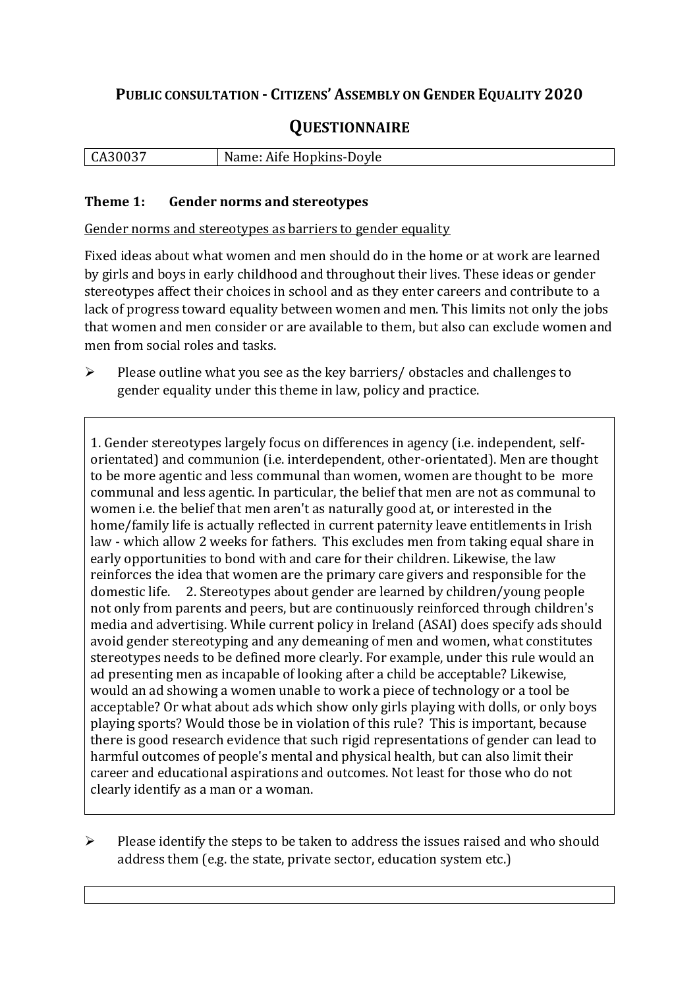## **PUBLIC CONSULTATION - CITIZENS' ASSEMBLY ON GENDER EQUALITY 2020**

# **QUESTIONNAIRE**

| $CA30^{02}$ | Name: Aife Hopkins-Doyle |
|-------------|--------------------------|
|             |                          |

#### **Theme 1: Gender norms and stereotypes**

Gender norms and stereotypes as barriers to gender equality

Fixed ideas about what women and men should do in the home or at work are learned by girls and boys in early childhood and throughout their lives. These ideas or gender stereotypes affect their choices in school and as they enter careers and contribute to a lack of progress toward equality between women and men. This limits not only the jobs that women and men consider or are available to them, but also can exclude women and men from social roles and tasks.

➢ Please outline what you see as the key barriers/ obstacles and challenges to gender equality under this theme in law, policy and practice.

1. Gender stereotypes largely focus on differences in agency (i.e. independent, selforientated) and communion (i.e. interdependent, other-orientated). Men are thought to be more agentic and less communal than women, women are thought to be more communal and less agentic. In particular, the belief that men are not as communal to women i.e. the belief that men aren't as naturally good at, or interested in the home/family life is actually reflected in current paternity leave entitlements in Irish law - which allow 2 weeks for fathers. This excludes men from taking equal share in early opportunities to bond with and care for their children. Likewise, the law reinforces the idea that women are the primary care givers and responsible for the domestic life. 2. Stereotypes about gender are learned by children/young people not only from parents and peers, but are continuously reinforced through children's media and advertising. While current policy in Ireland (ASAI) does specify ads should avoid gender stereotyping and any demeaning of men and women, what constitutes stereotypes needs to be defined more clearly. For example, under this rule would an ad presenting men as incapable of looking after a child be acceptable? Likewise, would an ad showing a women unable to work a piece of technology or a tool be acceptable? Or what about ads which show only girls playing with dolls, or only boys playing sports? Would those be in violation of this rule? This is important, because there is good research evidence that such rigid representations of gender can lead to harmful outcomes of people's mental and physical health, but can also limit their career and educational aspirations and outcomes. Not least for those who do not clearly identify as a man or a woman.

 $\triangleright$  Please identify the steps to be taken to address the issues raised and who should address them (e.g. the state, private sector, education system etc.)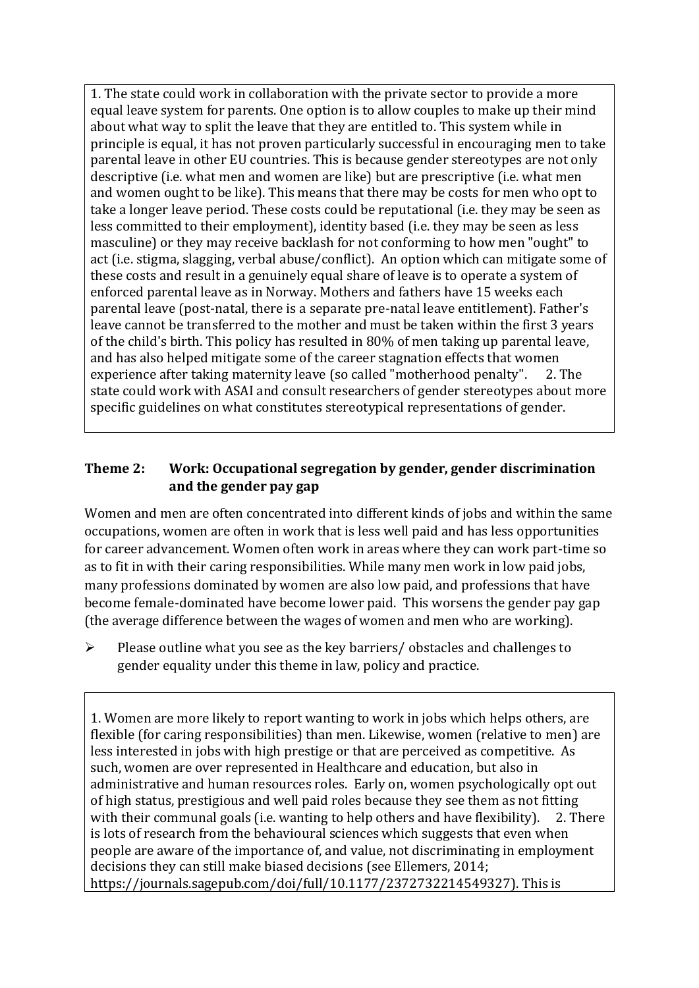1. The state could work in collaboration with the private sector to provide a more equal leave system for parents. One option is to allow couples to make up their mind about what way to split the leave that they are entitled to. This system while in principle is equal, it has not proven particularly successful in encouraging men to take parental leave in other EU countries. This is because gender stereotypes are not only descriptive (i.e. what men and women are like) but are prescriptive (i.e. what men and women ought to be like). This means that there may be costs for men who opt to take a longer leave period. These costs could be reputational (i.e. they may be seen as less committed to their employment), identity based (i.e. they may be seen as less masculine) or they may receive backlash for not conforming to how men "ought" to act (i.e. stigma, slagging, verbal abuse/conflict). An option which can mitigate some of these costs and result in a genuinely equal share of leave is to operate a system of enforced parental leave as in Norway. Mothers and fathers have 15 weeks each parental leave (post-natal, there is a separate pre-natal leave entitlement). Father's leave cannot be transferred to the mother and must be taken within the first 3 years of the child's birth. This policy has resulted in 80% of men taking up parental leave, and has also helped mitigate some of the career stagnation effects that women experience after taking maternity leave (so called "motherhood penalty". 2. The state could work with ASAI and consult researchers of gender stereotypes about more specific guidelines on what constitutes stereotypical representations of gender.

#### **Theme 2: Work: Occupational segregation by gender, gender discrimination and the gender pay gap**

Women and men are often concentrated into different kinds of jobs and within the same occupations, women are often in work that is less well paid and has less opportunities for career advancement. Women often work in areas where they can work part-time so as to fit in with their caring responsibilities. While many men work in low paid jobs, many professions dominated by women are also low paid, and professions that have become female-dominated have become lower paid. This worsens the gender pay gap (the average difference between the wages of women and men who are working).

➢ Please outline what you see as the key barriers/ obstacles and challenges to gender equality under this theme in law, policy and practice.

1. Women are more likely to report wanting to work in jobs which helps others, are flexible (for caring responsibilities) than men. Likewise, women (relative to men) are less interested in jobs with high prestige or that are perceived as competitive. As such, women are over represented in Healthcare and education, but also in administrative and human resources roles. Early on, women psychologically opt out of high status, prestigious and well paid roles because they see them as not fitting with their communal goals (i.e. wanting to help others and have flexibility). 2. There is lots of research from the behavioural sciences which suggests that even when people are aware of the importance of, and value, not discriminating in employment decisions they can still make biased decisions (see Ellemers, 2014; https://journals.sagepub.com/doi/full/10.1177/2372732214549327). This is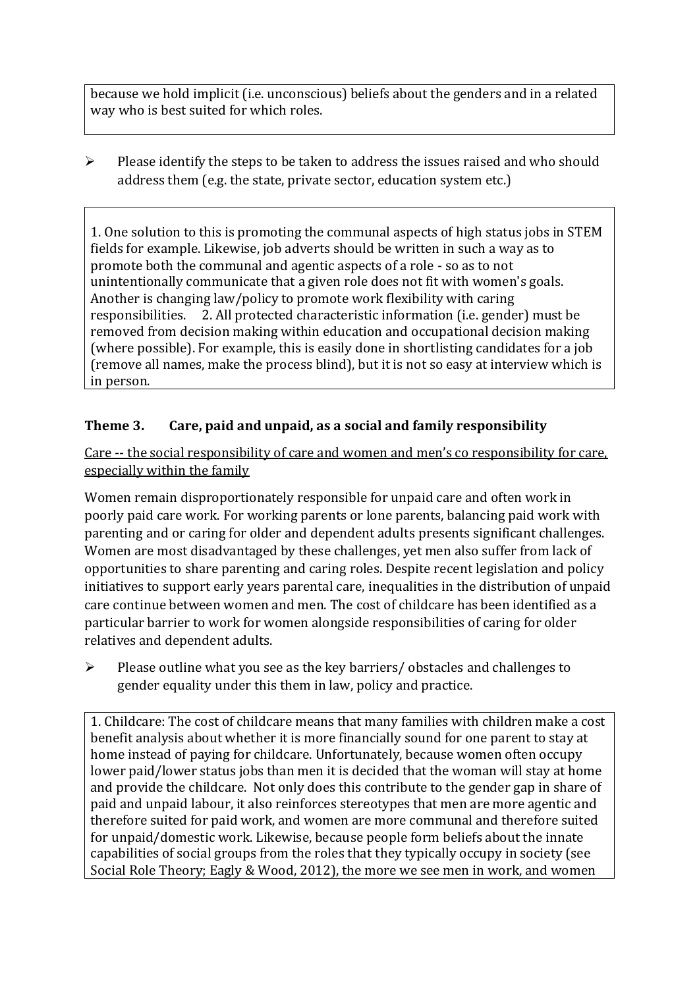because we hold implicit (i.e. unconscious) beliefs about the genders and in a related way who is best suited for which roles.

 $\triangleright$  Please identify the steps to be taken to address the issues raised and who should address them (e.g. the state, private sector, education system etc.)

1. One solution to this is promoting the communal aspects of high status jobs in STEM fields for example. Likewise, job adverts should be written in such a way as to promote both the communal and agentic aspects of a role - so as to not unintentionally communicate that a given role does not fit with women's goals. Another is changing law/policy to promote work flexibility with caring responsibilities. 2. All protected characteristic information (i.e. gender) must be removed from decision making within education and occupational decision making (where possible). For example, this is easily done in shortlisting candidates for a job (remove all names, make the process blind), but it is not so easy at interview which is in person.

### **Theme 3. Care, paid and unpaid, as a social and family responsibility**

Care -- the social responsibility of care and women and men's co responsibility for care, especially within the family

Women remain disproportionately responsible for unpaid care and often work in poorly paid care work. For working parents or [lone parents,](https://aran.library.nuigalway.ie/bitstream/handle/10379/6044/Millar_and_Crosse_Activation_Report.pdf?sequence=1&isAllowed=y) balancing paid work with parenting and or caring for older and dependent adults presents significant challenges. Women are [most disadvantaged by these challenges,](https://eige.europa.eu/gender-equality-index/game/IE/W) yet men also suffer from lack of opportunities to share parenting and caring roles. Despite recent legislation and policy initiatives to support early years parental care, [inequalities in the distribution of unpaid](https://www.ihrec.ie/app/uploads/2019/07/Caring-and-Unpaid-Work-in-Ireland_Final.pdf)  [care](https://www.ihrec.ie/app/uploads/2019/07/Caring-and-Unpaid-Work-in-Ireland_Final.pdf) continue between women and men. The cost of childcare has been identified as a particular barrier to work for women alongside responsibilities of caring for older relatives and dependent adults.

➢ Please outline what you see as the key barriers/ obstacles and challenges to gender equality under this them in law, policy and practice.

1. Childcare: The cost of childcare means that many families with children make a cost benefit analysis about whether it is more financially sound for one parent to stay at home instead of paying for childcare. Unfortunately, because women often occupy lower paid/lower status jobs than men it is decided that the woman will stay at home and provide the childcare. Not only does this contribute to the gender gap in share of paid and unpaid labour, it also reinforces stereotypes that men are more agentic and therefore suited for paid work, and women are more communal and therefore suited for unpaid/domestic work. Likewise, because people form beliefs about the innate capabilities of social groups from the roles that they typically occupy in society (see Social Role Theory; Eagly & Wood, 2012), the more we see men in work, and women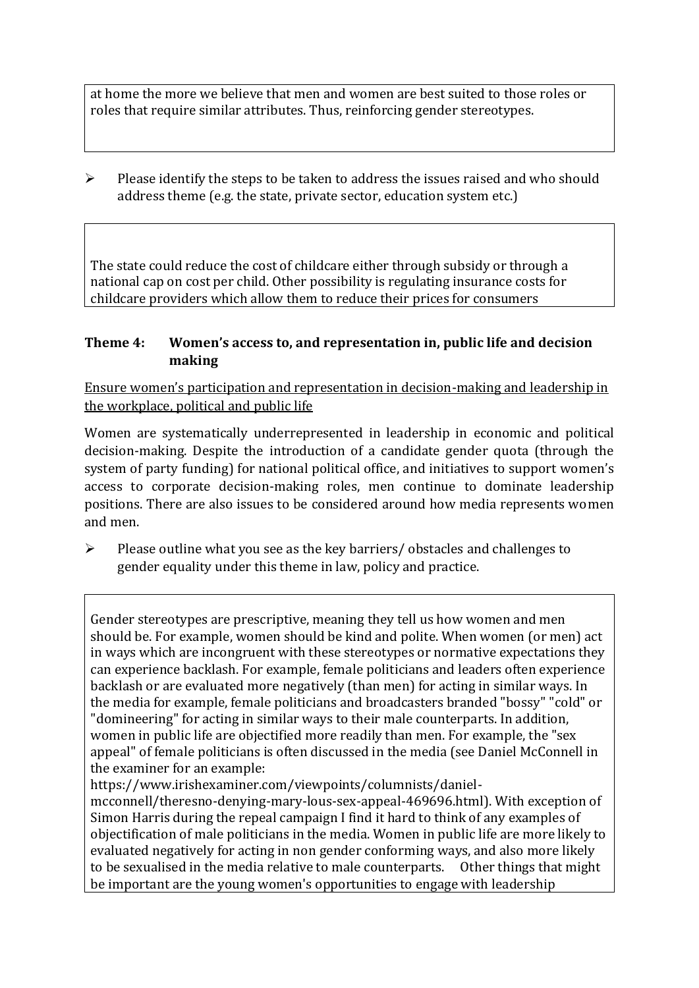at home the more we believe that men and women are best suited to those roles or roles that require similar attributes. Thus, reinforcing gender stereotypes.

 $\triangleright$  Please identify the steps to be taken to address the issues raised and who should address theme (e.g. the state, private sector, education system etc.)

The state could reduce the cost of childcare either through subsidy or through a national cap on cost per child. Other possibility is regulating insurance costs for childcare providers which allow them to reduce their prices for consumers

#### **Theme 4: Women's access to, and representation in, public life and decision making**

Ensure women's participation and representation in decision-making and leadership in the workplace, political and public life

Women are systematically underrepresented in leadership in [economic](https://eige.europa.eu/gender-equality-index/2019/compare-countries/power/2/bar) and [political](https://eige.europa.eu/gender-equality-index/2019/compare-countries/power/1/bar)  [decision-](https://eige.europa.eu/gender-equality-index/2019/compare-countries/power/1/bar)making. Despite the introduction of a candidate gender quota (through the system of party funding) for national political office, and [initiatives](https://betterbalance.ie/) to support women's access to corporate decision-making roles, men continue to dominate leadership positions. There are also issues to be considered around how media represents women and men.

➢ Please outline what you see as the key barriers/ obstacles and challenges to gender equality under this theme in law, policy and practice.

Gender stereotypes are prescriptive, meaning they tell us how women and men should be. For example, women should be kind and polite. When women (or men) act in ways which are incongruent with these stereotypes or normative expectations they can experience backlash. For example, female politicians and leaders often experience backlash or are evaluated more negatively (than men) for acting in similar ways. In the media for example, female politicians and broadcasters branded "bossy" "cold" or "domineering" for acting in similar ways to their male counterparts. In addition, women in public life are objectified more readily than men. For example, the "sex appeal" of female politicians is often discussed in the media (see Daniel McConnell in the examiner for an example:

https://www.irishexaminer.com/viewpoints/columnists/daniel-

mcconnell/theresno-denying-mary-lous-sex-appeal-469696.html). With exception of Simon Harris during the repeal campaign I find it hard to think of any examples of objectification of male politicians in the media. Women in public life are more likely to evaluated negatively for acting in non gender conforming ways, and also more likely to be sexualised in the media relative to male counterparts. Other things that might be important are the young women's opportunities to engage with leadership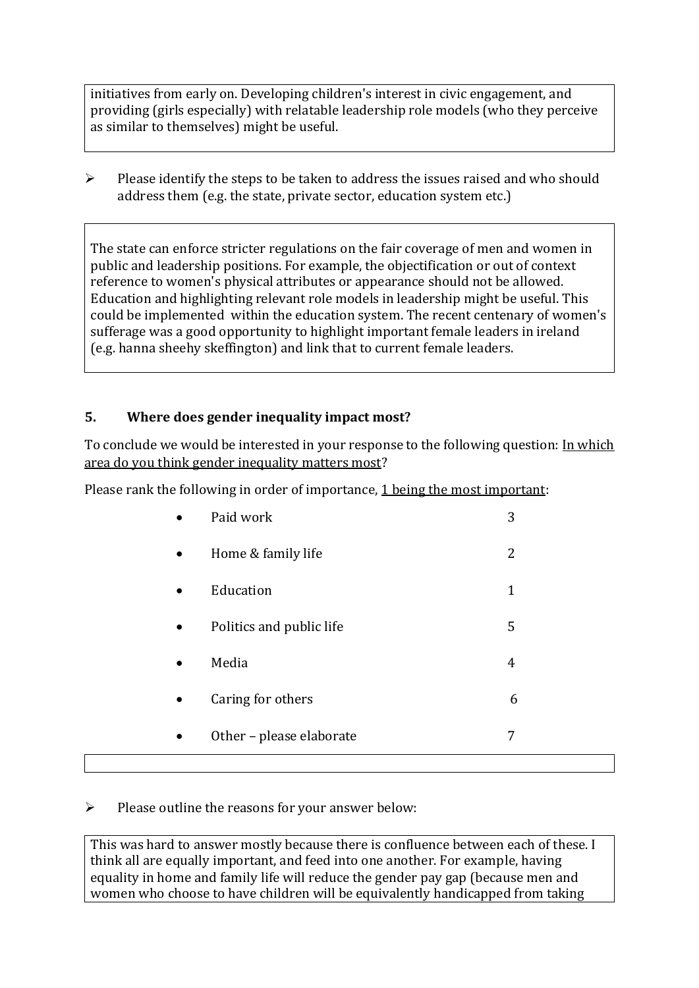initiatives from early on. Developing children's interest in civic engagement, and providing (girls especially) with relatable leadership role models (who they perceive as similar to themselves) might be useful.

➢ Please identify the steps to be taken to address the issues raised and who should address them (e.g. the state, private sector, education system etc.)

The state can enforce stricter regulations on the fair coverage of men and women in public and leadership positions. For example, the objectification or out of context reference to women's physical attributes or appearance should not be allowed. Education and highlighting relevant role models in leadership might be useful. This could be implemented within the education system. The recent centenary of women's sufferage was a good opportunity to highlight important female leaders in ireland (e.g. hanna sheehy skeffington) and link that to current female leaders.

#### **5. Where does gender inequality impact most?**

To conclude we would be interested in your response to the following question: In which area do you think gender inequality matters most?

Please rank the following in order of importance, 1 being the most important:

|   | Other - please elaborate | 7            |
|---|--------------------------|--------------|
|   | Caring for others        | 6            |
|   | Media                    | 4            |
|   | Politics and public life | 5            |
|   | Education                | $\mathbf{1}$ |
| ٠ | Home & family life       | 2            |
|   | Paid work                | 3            |

#### ➢ Please outline the reasons for your answer below:

This was hard to answer mostly because there is confluence between each of these. I think all are equally important, and feed into one another. For example, having equality in home and family life will reduce the gender pay gap (because men and women who choose to have children will be equivalently handicapped from taking